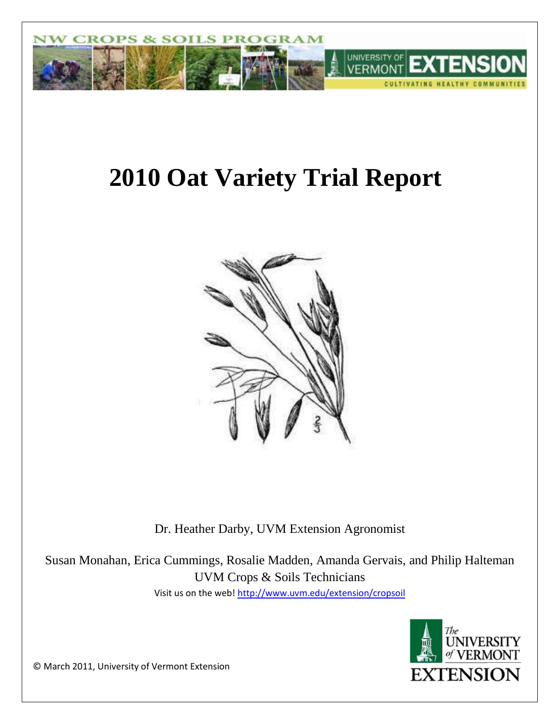

# **2010 Oat Variety Trial Report**



Dr. Heather Darby, UVM Extension Agronomist

Susan Monahan, Erica Cummings, Rosalie Madden, Amanda Gervais, and Philip Halteman UVM Crops & Soils Technicians Visit us on the web!<http://www.uvm.edu/extension/cropsoil>



© March 2011, University of Vermont Extension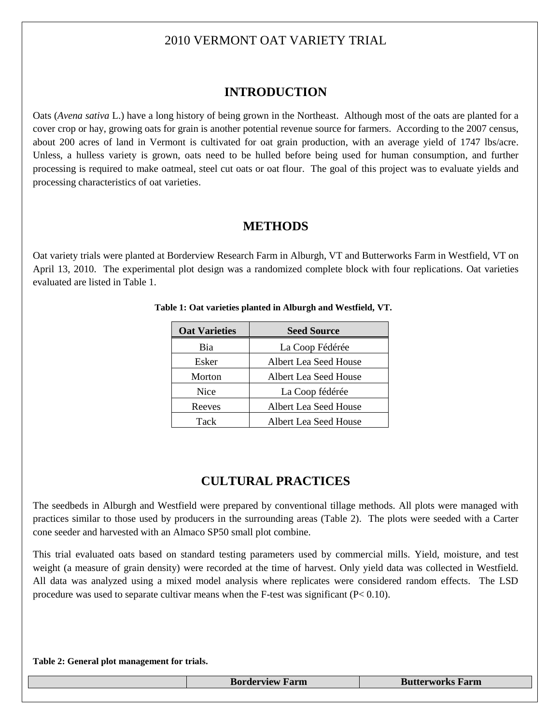## 2010 VERMONT OAT VARIETY TRIAL

## **INTRODUCTION**

Oats (*Avena sativa* L.) have a long history of being grown in the Northeast. Although most of the oats are planted for a cover crop or hay, growing oats for grain is another potential revenue source for farmers. According to the 2007 census, about 200 acres of land in Vermont is cultivated for oat grain production, with an average yield of 1747 lbs/acre. Unless, a hulless variety is grown, oats need to be hulled before being used for human consumption, and further processing is required to make oatmeal, steel cut oats or oat flour. The goal of this project was to evaluate yields and processing characteristics of oat varieties.

## **METHODS**

Oat variety trials were planted at Borderview Research Farm in Alburgh, VT and Butterworks Farm in Westfield, VT on April 13, 2010. The experimental plot design was a randomized complete block with four replications. Oat varieties evaluated are listed in Table 1.

| <b>Oat Varieties</b> | <b>Seed Source</b>           |  |
|----------------------|------------------------------|--|
| Bia                  | La Coop Fédérée              |  |
| Esker                | Albert Lea Seed House        |  |
| Morton               | Albert Lea Seed House        |  |
| <b>Nice</b>          | La Coop fédérée              |  |
| Reeves               | Albert Lea Seed House        |  |
| Tack                 | <b>Albert Lea Seed House</b> |  |

#### **Table 1: Oat varieties planted in Alburgh and Westfield, VT.**

## **CULTURAL PRACTICES**

The seedbeds in Alburgh and Westfield were prepared by conventional tillage methods. All plots were managed with practices similar to those used by producers in the surrounding areas (Table 2). The plots were seeded with a Carter cone seeder and harvested with an Almaco SP50 small plot combine.

This trial evaluated oats based on standard testing parameters used by commercial mills. Yield, moisture, and test weight (a measure of grain density) were recorded at the time of harvest. Only yield data was collected in Westfield. All data was analyzed using a mixed model analysis where replicates were considered random effects. The LSD procedure was used to separate cultivar means when the F-test was significant  $(P< 0.10)$ .

#### **Table 2: General plot management for trials.**

**Borderview Farm Butterworks Farm**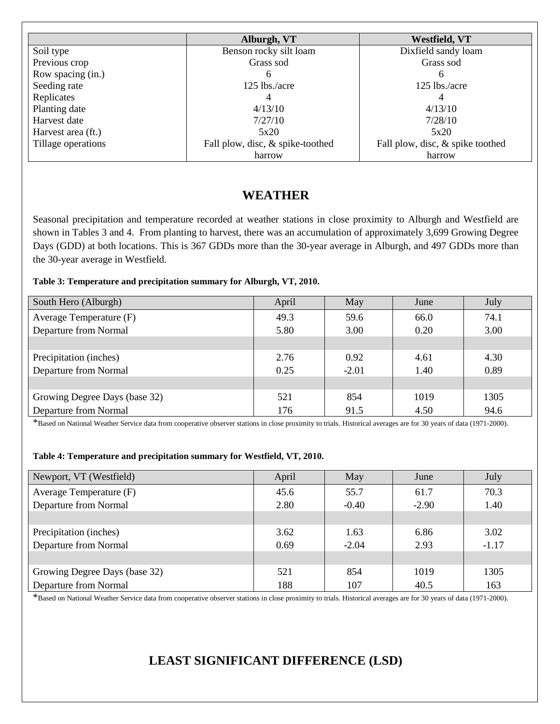|                    | Alburgh, VT                      | Westfield, VT                    |
|--------------------|----------------------------------|----------------------------------|
| Soil type          | Benson rocky silt loam           | Dixfield sandy loam              |
| Previous crop      | Grass sod                        | Grass sod                        |
| Row spacing (in.)  | <sub>0</sub>                     | h                                |
| Seeding rate       | $125$ lbs./acre                  | 125 lbs./acre                    |
| Replicates         |                                  | 4                                |
| Planting date      | 4/13/10                          | 4/13/10                          |
| Harvest date       | 7/27/10                          | 7/28/10                          |
| Harvest area (ft.) | 5x20                             | 5x20                             |
| Tillage operations | Fall plow, disc, & spike-toothed | Fall plow, disc, & spike toothed |
|                    | harrow                           | harrow                           |

## **WEATHER**

Seasonal precipitation and temperature recorded at weather stations in close proximity to Alburgh and Westfield are shown in Tables 3 and 4. From planting to harvest, there was an accumulation of approximately 3,699 Growing Degree Days (GDD) at both locations. This is 367 GDDs more than the 30-year average in Alburgh, and 497 GDDs more than the 30-year average in Westfield.

#### **Table 3: Temperature and precipitation summary for Alburgh, VT, 2010.**

| South Hero (Alburgh)          | April | May     | June | July |
|-------------------------------|-------|---------|------|------|
| Average Temperature (F)       | 49.3  | 59.6    | 66.0 | 74.1 |
| Departure from Normal         | 5.80  | 3.00    | 0.20 | 3.00 |
|                               |       |         |      |      |
| Precipitation (inches)        | 2.76  | 0.92    | 4.61 | 4.30 |
| Departure from Normal         | 0.25  | $-2.01$ | 1.40 | 0.89 |
|                               |       |         |      |      |
| Growing Degree Days (base 32) | 521   | 854     | 1019 | 1305 |
| Departure from Normal         | 176   | 91.5    | 4.50 | 94.6 |

\*Based on National Weather Service data from cooperative observer stations in close proximity to trials. Historical averages are for 30 years of data (1971-2000).

#### **Table 4: Temperature and precipitation summary for Westfield, VT, 2010.**

| Newport, VT (Westfield)       | April | May     | June    | July    |
|-------------------------------|-------|---------|---------|---------|
| Average Temperature (F)       | 45.6  | 55.7    | 61.7    | 70.3    |
| Departure from Normal         | 2.80  | $-0.40$ | $-2.90$ | 1.40    |
|                               |       |         |         |         |
| Precipitation (inches)        | 3.62  | 1.63    | 6.86    | 3.02    |
| Departure from Normal         | 0.69  | $-2.04$ | 2.93    | $-1.17$ |
|                               |       |         |         |         |
| Growing Degree Days (base 32) | 521   | 854     | 1019    | 1305    |
| Departure from Normal         | 188   | 107     | 40.5    | 163     |

\*Based on National Weather Service data from cooperative observer stations in close proximity to trials. Historical averages are for 30 years of data (1971-2000).

## **LEAST SIGNIFICANT DIFFERENCE (LSD)**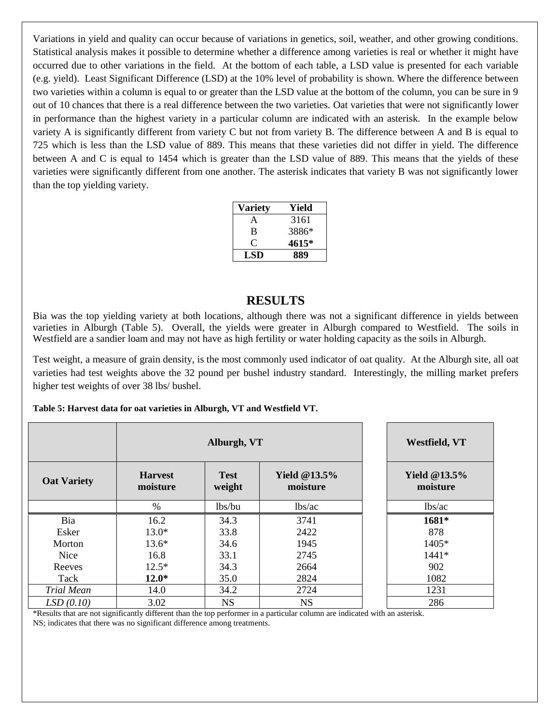Variations in yield and quality can occur because of variations in genetics, soil, weather, and other growing conditions. Statistical analysis makes it possible to determine whether a difference among varieties is real or whether it might have occurred due to other variations in the field. At the bottom of each table, a LSD value is presented for each variable (e.g. yield). Least Significant Difference (LSD) at the 10% level of probability is shown. Where the difference between two varieties within a column is equal to or greater than the LSD value at the bottom of the column, you can be sure in 9 out of 10 chances that there is a real difference between the two varieties. Oat varieties that were not significantly lower in performance than the highest variety in a particular column are indicated with an asterisk. In the example below variety A is significantly different from variety C but not from variety B. The difference between A and B is equal to 725 which is less than the LSD value of 889. This means that these varieties did not differ in yield. The difference between A and C is equal to 1454 which is greater than the LSD value of 889. This means that the yields of these varieties were significantly different from one another. The asterisk indicates that variety B was not significantly lower than the top yielding variety.

| Variety | Yield |
|---------|-------|
| A       | 3161  |
| в       | 3886* |
| 0       | 4615* |
| LSD     | 889   |

### **RESULTS**

Bia was the top yielding variety at both locations, although there was not a significant difference in yields between varieties in Alburgh (Table 5). Overall, the yields were greater in Alburgh compared to Westfield. The soils in Westfield are a sandier loam and may not have as high fertility or water holding capacity as the soils in Alburgh.

Test weight, a measure of grain density, is the most commonly used indicator of oat quality. At the Alburgh site, all oat varieties had test weights above the 32 pound per bushel industry standard. Interestingly, the milling market prefers higher test weights of over 38 lbs/ bushel.

| Table 5: Harvest data for oat varieties in Alburgh, VT and Westfield VT. |  |
|--------------------------------------------------------------------------|--|
|--------------------------------------------------------------------------|--|

|                    | Alburgh, VT                |                       |                             | Westfield, VT               |
|--------------------|----------------------------|-----------------------|-----------------------------|-----------------------------|
| <b>Oat Variety</b> | <b>Harvest</b><br>moisture | <b>Test</b><br>weight | Yield $@13.5\%$<br>moisture | Yield $@13.5\%$<br>moisture |
|                    | $\%$                       | lbs/bu                | lbs/ac                      | lbs/ac                      |
| Bia                | 16.2                       | 34.3                  | 3741                        | 1681*                       |
| Esker              | $13.0*$                    | 33.8                  | 2422                        | 878                         |
| Morton             | $13.6*$                    | 34.6                  | 1945                        | 1405*                       |
| Nice               | 16.8                       | 33.1                  | 2745                        | 1441*                       |
| Reeves             | $12.5*$                    | 34.3                  | 2664                        | 902                         |
| Tack               | $12.0*$                    | 35.0                  | 2824                        | 1082                        |
| Trial Mean         | 14.0                       | 34.2                  | 2724                        | 1231                        |
| LSD(0.10)          | 3.02                       | <b>NS</b>             | <b>NS</b>                   | 286                         |

\*Results that are not significantly different than the top performer in a particular column are indicated with an asterisk. NS; indicates that there was no significant difference among treatments.